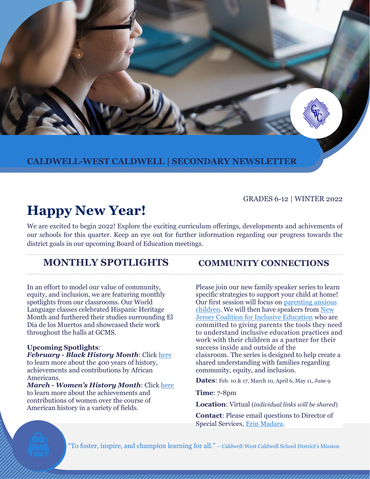**CALDWELL-WEST CALDWELL | SECONDARY NEWSLETTER** 

#### GRADES 6-12 | WINTER 2022

# **Happy New Year!**

We are excited to begin 2022! Explore the exciting curriculum offerings, developments and achivements of our schools for this quarter. Keep an eye out for further information regarding our progress towards the district goals in our upcoming Board of Education meetings.

# **MONTHLY SPOTLIGHTS COMMUNITY CONNECTIONS**

In an effort to model our value of community, equity, and inclusion, we are featuring monthly spotlights from our classrooms. Our World Language classes celebrated Hispanic Heritage Month and furthered their studies surrounding El Día de los Muertos and showcased their work throughout the halls at GCMS.

#### **Upcoming Spotlights**:

*February - Black History Month*: Click [here](https://www.africanamericanhistorymonth.gov/) to learn more about the 400 years of history, achievements and contributions by African Americans.

*March - Women's History Month*: Click [here](https://womenshistorymonth.gov/for-teachers/) to learn more about the achievements and contributions of women over the course of American history in a variety of fields.

Please join our new family speaker series to learn specific strategies to support your child at home! Our first session will focus o[n parenting anxious](https://www.smore.com/t0nay)  [children.](https://www.smore.com/t0nay) We will then have speakers fro[m New](https://www.njcie.org/)  [Jersey Coalition for Inclusive Education](https://www.njcie.org/) who are committed to giving parents the tools they need to understand inclusive education practices and work with their children as a partner for their success inside and outside of the classroom. The series is designed to help create a shared understanding with families regarding community, equity, and inclusion.

**Dates**: Feb. 10 & 17, March 10, April 6, May 11, June 9

**Time**: 7-8pm

**Location**: Virtual (*individual links will be shared*)

**Contact**: Please email questions to Director of Special Services[, Erin Madara.](mailto:emadara@cwcboe.org)

"To foster, inspire, and champion learning for all." – Caldwell-West Caldwell School District's Mission